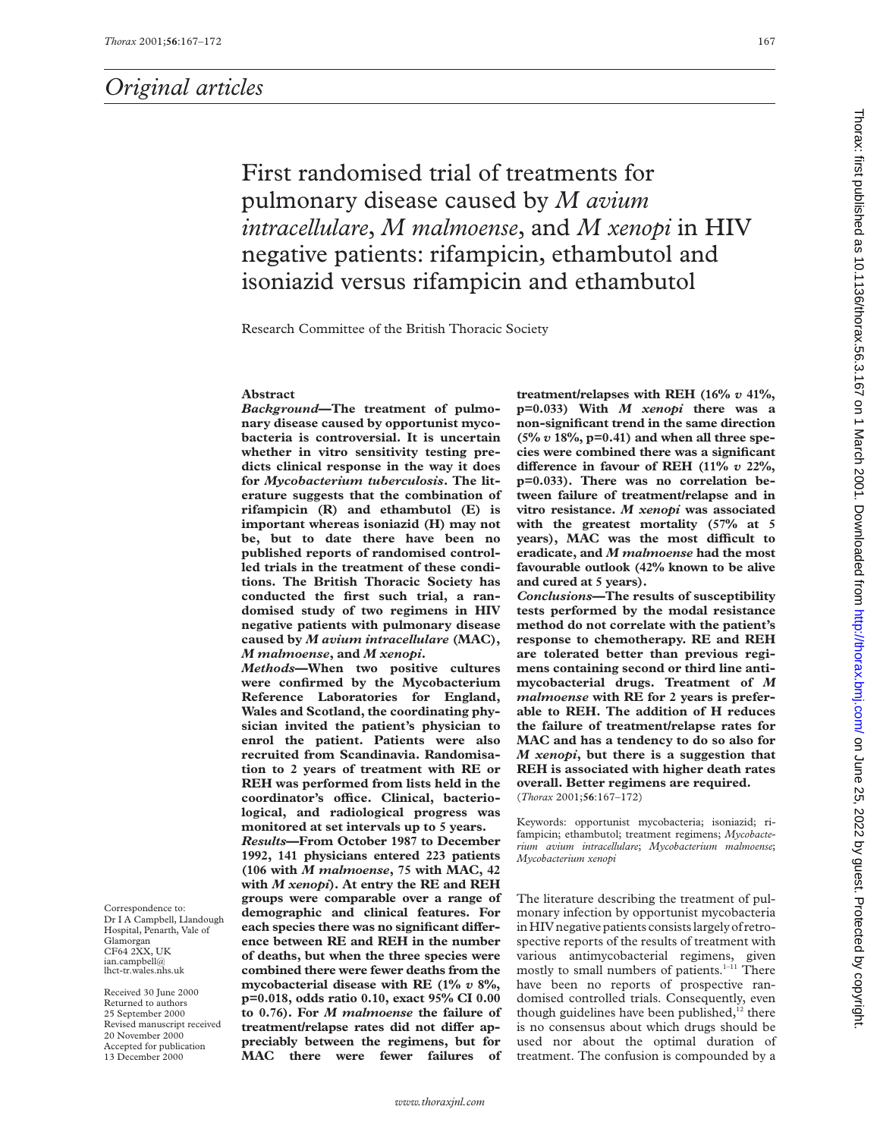First randomised trial of treatments for pulmonary disease caused by *M avium intracellulare*, *M malmoense*, and *M xenopi* in HIV negative patients: rifampicin, ethambutol and isoniazid versus rifampicin and ethambutol

Research Committee of the British Thoracic Society

#### **Abstract**

*Background***—The treatment of pulmonary disease caused by opportunist mycobacteria is controversial. It is uncertain whether in vitro sensitivity testing predicts clinical response in the way it does for** *Mycobacterium tuberculosis***. The literature suggests that the combination of rifampicin (R) and ethambutol (E) is important whereas isoniazid (H) may not be, but to date there have been no published reports of randomised controlled trials in the treatment of these conditions. The British Thoracic Society has conducted the first such trial, a randomised study of two regimens in HIV negative patients with pulmonary disease caused by** *M avium intracellulare* **(MAC),** *M malmoense***, and** *M xenopi***.**

*Methods***—When two positive cultures were confirmed by the Mycobacterium Reference Laboratories for England, Wales and Scotland, the coordinating physician invited the patient's physician to enrol the patient. Patients were also recruited from Scandinavia. Randomisation to 2 years of treatment with RE or REH was performed from lists held in the** coordinator's office. Clinical, bacterio**logical, and radiological progress was monitored at set intervals up to 5 years.** *Results***—From October 1987 to December 1992, 141 physicians entered 223 patients (106 with** *M malmoense***, 75 with MAC, 42 with** *M xenopi***). At entry the RE and REH groups were comparable over a range of demographic and clinical features. For** each species there was no significant differ**ence between RE and REH in the number of deaths, but when the three species were combined there were fewer deaths from the mycobacterial disease with RE (1%** *v* **8%, p=0.018, odds ratio 0.10, exact 95% CI 0.00 to 0.76). For** *M malmoense* **the failure of** treatment/relapse rates did not differ ap**preciably between the regimens, but for MAC there were fewer failures of** **treatment/relapses with REH (16%** *v* **41%, p=0.033) With** *M xenopi* **there was a non-significant trend in the same direction (5%** *v* **18%, p=0.41) and when all three species were combined there was a significant** difference in favour of REH (11%  $v$  22%, **p=0.033). There was no correlation between failure of treatment/relapse and in vitro resistance.** *M xenopi* **was associated with the greatest mortality (57% at 5** years), MAC was the most difficult to **eradicate, and** *M malmoense* **had the most favourable outlook (42% known to be alive and cured at 5 years).**

*Conclusions***—The results of susceptibility tests performed by the modal resistance method do not correlate with the patient's response to chemotherapy. RE and REH are tolerated better than previous regimens containing second or third line antimycobacterial drugs. Treatment of** *M malmoense* **with RE for 2 years is preferable to REH. The addition of H reduces the failure of treatment/relapse rates for MAC and has a tendency to do so also for** *M xenopi***, but there is a suggestion that REH is associated with higher death rates overall. Better regimens are required.** (*Thorax* 2001;**56**:167–172)

Keywords: opportunist mycobacteria; isoniazid; rifampicin; ethambutol; treatment regimens; *Mycobacterium avium intracellulare*; *Mycobacterium malmoense*; *Mycobacterium xenopi*

The literature describing the treatment of pulmonary infection by opportunist mycobacteria in HIV negative patients consists largely of retrospective reports of the results of treatment with various antimycobacterial regimens, given mostly to small numbers of patients.<sup>1-11</sup> There have been no reports of prospective randomised controlled trials. Consequently, even though guidelines have been published, $12$  there is no consensus about which drugs should be used nor about the optimal duration of treatment. The confusion is compounded by a

Correspondence to: Dr I A Campbell, Llandough Hospital, Penarth, Vale of Glamorgan CF64 2XX, UK ian.campbell@ lhct-tr.wales.nhs.uk

Received 30 June 2000 Returned to authors 25 September 2000 Revised manuscript received 20 November 2000 Accepted for publication 13 December 2000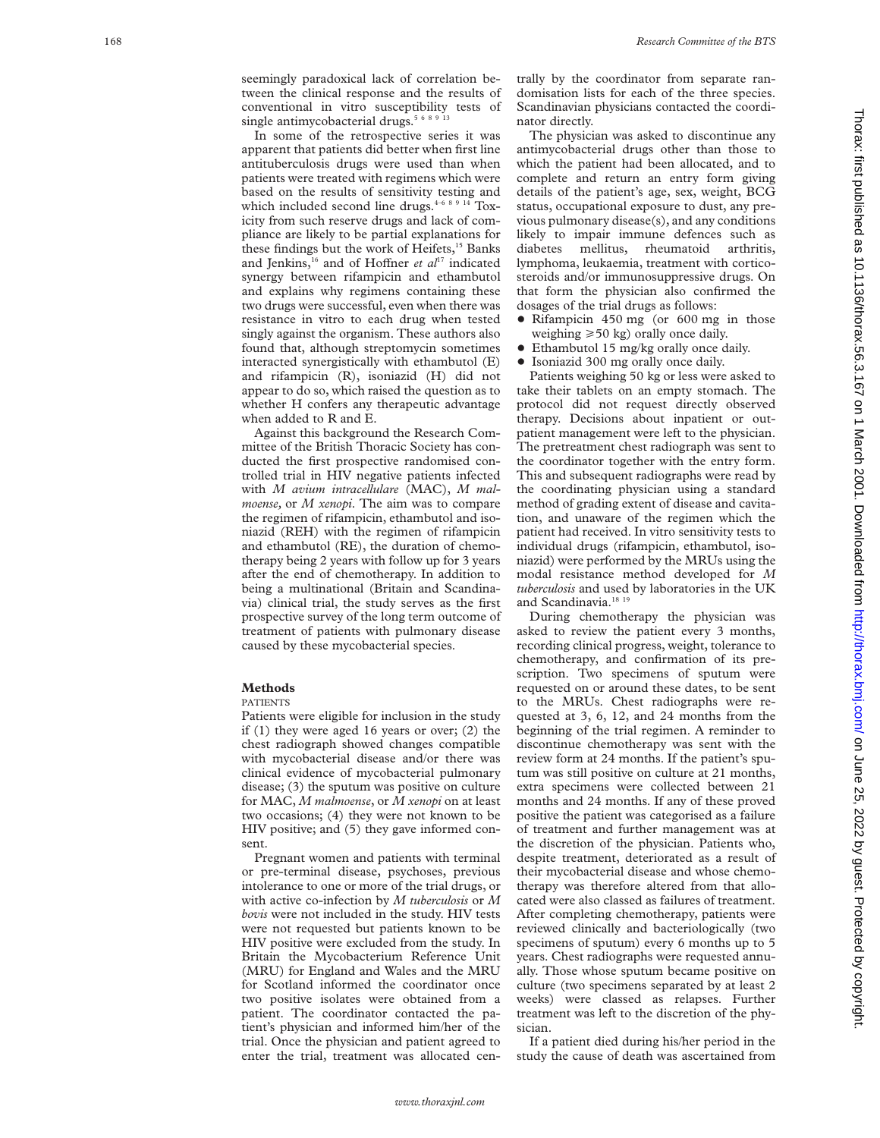seemingly paradoxical lack of correlation between the clinical response and the results of conventional in vitro susceptibility tests of single antimycobacterial drugs.<sup>5 6 8 9 1</sup>

In some of the retrospective series it was apparent that patients did better when first line antituberculosis drugs were used than when patients were treated with regimens which were based on the results of sensitivity testing and which included second line drugs. $4-68914$  Toxicity from such reserve drugs and lack of compliance are likely to be partial explanations for these findings but the work of Heifets,<sup>15</sup> Banks and Jenkins,<sup>16</sup> and of Hoffner et al<sup>17</sup> indicated synergy between rifampicin and ethambutol and explains why regimens containing these two drugs were successful, even when there was resistance in vitro to each drug when tested singly against the organism. These authors also found that, although streptomycin sometimes interacted synergistically with ethambutol (E) and rifampicin (R), isoniazid (H) did not appear to do so, which raised the question as to whether H confers any therapeutic advantage when added to R and E.

Against this background the Research Committee of the British Thoracic Society has conducted the first prospective randomised controlled trial in HIV negative patients infected with *M avium intracellulare* (MAC), *M malmoense,* or *M xenopi*. The aim was to compare the regimen of rifampicin, ethambutol and isoniazid (REH) with the regimen of rifampicin and ethambutol (RE), the duration of chemotherapy being 2 years with follow up for 3 years after the end of chemotherapy. In addition to being a multinational (Britain and Scandinavia) clinical trial, the study serves as the first prospective survey of the long term outcome of treatment of patients with pulmonary disease caused by these mycobacterial species.

## **Methods**

### PATIENTS

Patients were eligible for inclusion in the study if (1) they were aged 16 years or over; (2) the chest radiograph showed changes compatible with mycobacterial disease and/or there was clinical evidence of mycobacterial pulmonary disease; (3) the sputum was positive on culture for MAC, *M malmoense*, or *M xenopi* on at least two occasions; (4) they were not known to be HIV positive; and (5) they gave informed consent.

Pregnant women and patients with terminal or pre-terminal disease, psychoses, previous intolerance to one or more of the trial drugs, or with active co-infection by *M tuberculosis* or *M bovis* were not included in the study. HIV tests were not requested but patients known to be HIV positive were excluded from the study. In Britain the Mycobacterium Reference Unit (MRU) for England and Wales and the MRU for Scotland informed the coordinator once two positive isolates were obtained from a patient. The coordinator contacted the patient's physician and informed him/her of the trial. Once the physician and patient agreed to enter the trial, treatment was allocated centrally by the coordinator from separate randomisation lists for each of the three species. Scandinavian physicians contacted the coordinator directly.

The physician was asked to discontinue any antimycobacterial drugs other than those to which the patient had been allocated, and to complete and return an entry form giving details of the patient's age, sex, weight, BCG status, occupational exposure to dust, any previous pulmonary disease(s), and any conditions likely to impair immune defences such as diabetes mellitus, rheumatoid arthritis, lymphoma, leukaemia, treatment with corticosteroids and/or immunosuppressive drugs. On that form the physician also confirmed the dosages of the trial drugs as follows:

- Rifampicin 450 mg (or 600 mg in those weighing >50 kg) orally once daily.
- Ethambutol 15 mg/kg orally once daily.
- $\bullet$  Isoniazid 300 mg orally once daily.

Patients weighing 50 kg or less were asked to take their tablets on an empty stomach. The protocol did not request directly observed therapy. Decisions about inpatient or outpatient management were left to the physician. The pretreatment chest radiograph was sent to the coordinator together with the entry form. This and subsequent radiographs were read by the coordinating physician using a standard method of grading extent of disease and cavitation, and unaware of the regimen which the patient had received. In vitro sensitivity tests to individual drugs (rifampicin, ethambutol, isoniazid) were performed by the MRUs using the modal resistance method developed for *M tuberculosis* and used by laboratories in the UK and Scandinavia.<sup>18 19</sup>

During chemotherapy the physician was asked to review the patient every 3 months, recording clinical progress, weight, tolerance to chemotherapy, and confirmation of its prescription. Two specimens of sputum were requested on or around these dates, to be sent to the MRUs. Chest radiographs were requested at 3, 6, 12, and 24 months from the beginning of the trial regimen. A reminder to discontinue chemotherapy was sent with the review form at 24 months. If the patient's sputum was still positive on culture at 21 months, extra specimens were collected between 21 months and 24 months. If any of these proved positive the patient was categorised as a failure of treatment and further management was at the discretion of the physician. Patients who, despite treatment, deteriorated as a result of their mycobacterial disease and whose chemotherapy was therefore altered from that allocated were also classed as failures of treatment. After completing chemotherapy, patients were reviewed clinically and bacteriologically (two specimens of sputum) every 6 months up to 5 years. Chest radiographs were requested annually. Those whose sputum became positive on culture (two specimens separated by at least 2 weeks) were classed as relapses. Further treatment was left to the discretion of the physician.

If a patient died during his/her period in the study the cause of death was ascertained from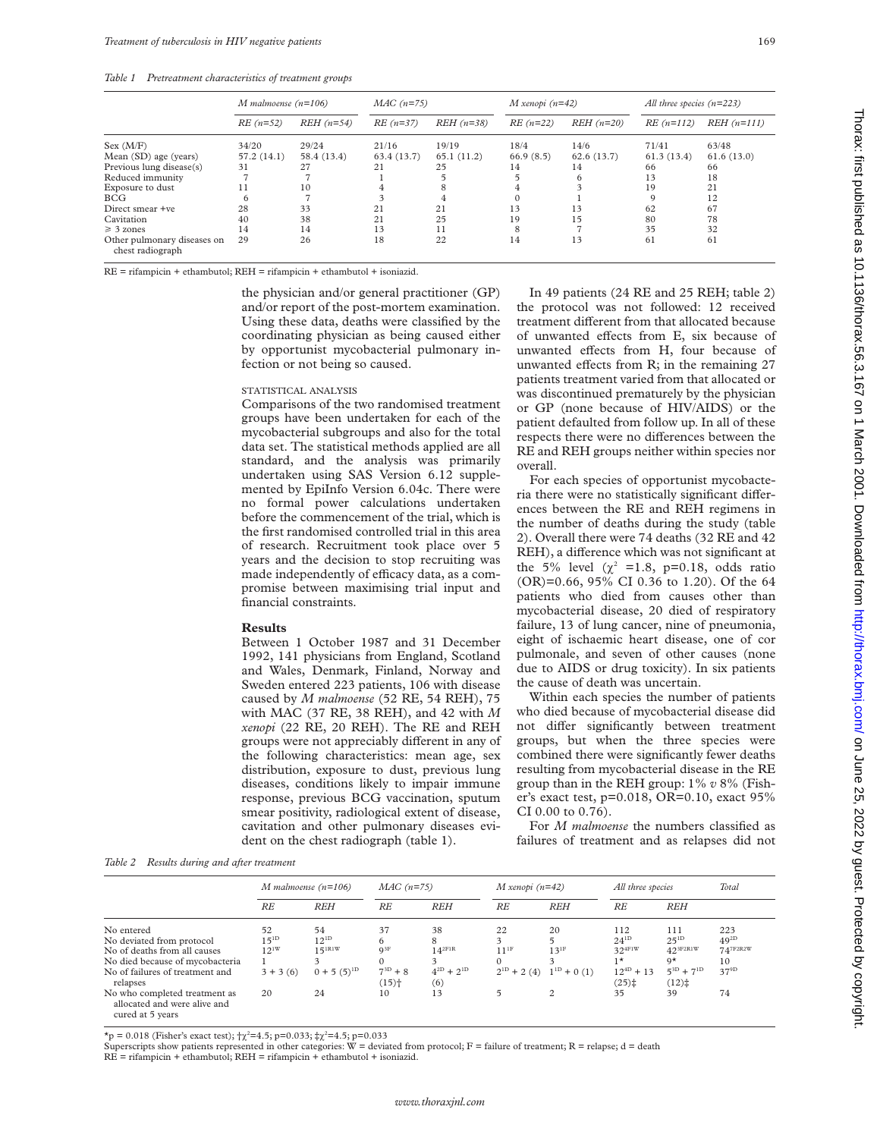*Table 1 Pretreatment characteristics of treatment groups*

|                                                 | M malmoense $(n=106)$ |             | $MAC (n=75)$ |             | $M$ xenopi (n=42) |             | All three species $(n=223)$ |               |
|-------------------------------------------------|-----------------------|-------------|--------------|-------------|-------------------|-------------|-----------------------------|---------------|
|                                                 | $RE(n=52)$            | $REH(n=54)$ | $RE(n=37)$   | $REH(n=38)$ | $RE(n=22)$        | $REH(n=20)$ | $RE(n=112)$                 | $REH (n=111)$ |
| Sex (M/F)                                       | 34/20                 | 29/24       | 21/16        | 19/19       | 18/4              | 14/6        | 71/41                       | 63/48         |
| Mean (SD) age (years)                           | 57.2(14.1)            | 58.4 (13.4) | 63.4(13.7)   | 65.1(11.2)  | 66.9(8.5)         | 62.6(13.7)  | 61.3(13.4)                  | 61.6(13.0)    |
| Previous lung disease(s)                        | 31                    | 27          | 21           | 25          | 14                | 14          | 66                          | 66            |
| Reduced immunity                                |                       |             |              |             |                   | 6           | 13                          | 18            |
| Exposure to dust                                |                       | 10          |              | 8           | 4                 |             | 19                          | 21            |
| BCG                                             |                       |             |              |             |                   |             | $\Omega$                    | 12            |
| Direct smear +ve                                | 28                    | 33          | 21           | 21          | 13                | 13          | 62                          | 67            |
| Cavitation                                      | 40                    | 38          | 21           | 25          | 19                | 15          | 80                          | 78            |
| $\geq 3$ zones                                  | 14                    | 14          | 13           | 11          | 8                 |             | 35                          | 32            |
| Other pulmonary diseases on<br>chest radiograph | 29                    | 26          | 18           | 22          | 14                | 13          | 61                          | 61            |

RE = rifampicin + ethambutol; REH = rifampicin + ethambutol + isoniazid.

the physician and/or general practitioner (GP) and/or report of the post-mortem examination. Using these data, deaths were classified by the coordinating physician as being caused either by opportunist mycobacterial pulmonary infection or not being so caused.

#### STATISTICAL ANALYSIS

Comparisons of the two randomised treatment groups have been undertaken for each of the mycobacterial subgroups and also for the total data set. The statistical methods applied are all standard, and the analysis was primarily undertaken using SAS Version 6.12 supplemented by EpiInfo Version 6.04c. There were no formal power calculations undertaken before the commencement of the trial, which is the first randomised controlled trial in this area of research. Recruitment took place over 5 years and the decision to stop recruiting was made independently of efficacy data, as a compromise between maximising trial input and financial constraints.

#### **Results**

Between 1 October 1987 and 31 December 1992, 141 physicians from England, Scotland and Wales, Denmark, Finland, Norway and Sweden entered 223 patients, 106 with disease caused by *M malmoense* (52 RE, 54 REH), 75 with MAC (37 RE, 38 REH), and 42 with *M xenopi* (22 RE, 20 REH). The RE and REH groups were not appreciably different in any of the following characteristics: mean age, sex distribution, exposure to dust, previous lung diseases, conditions likely to impair immune response, previous BCG vaccination, sputum smear positivity, radiological extent of disease, cavitation and other pulmonary diseases evident on the chest radiograph (table 1).

In 49 patients (24 RE and 25 REH; table 2) the protocol was not followed: 12 received treatment different from that allocated because of unwanted effects from E, six because of unwanted effects from H, four because of unwanted effects from  $R$ ; in the remaining 27 patients treatment varied from that allocated or was discontinued prematurely by the physician or GP (none because of HIV/AIDS) or the patient defaulted from follow up. In all of these respects there were no differences between the RE and REH groups neither within species nor overall.

For each species of opportunist mycobacteria there were no statistically significant differences between the RE and REH regimens in the number of deaths during the study (table 2). Overall there were 74 deaths (32 RE and 42 REH), a difference which was not significant at the 5% level  $(\chi^2 = 1.8, p=0.18, \text{odds ratio})$ (OR)=0.66, 95% CI 0.36 to 1.20). Of the 64 patients who died from causes other than mycobacterial disease, 20 died of respiratory failure, 13 of lung cancer, nine of pneumonia, eight of ischaemic heart disease, one of cor pulmonale, and seven of other causes (none due to AIDS or drug toxicity). In six patients the cause of death was uncertain.

Within each species the number of patients who died because of mycobacterial disease did not differ significantly between treatment groups, but when the three species were combined there were significantly fewer deaths resulting from mycobacterial disease in the RE group than in the REH group: 1% *v* 8% (Fisher's exact test, p=0.018, OR=0.10, exact 95% CI 0.00 to 0.76).

For *M malmoense* the numbers classified as failures of treatment and as relapses did not

*Table 2 Results during and after treatment*

|                                                                                   | M malmoense $(n=106)$ |                    | $MAC(n=75)$         |                   | $M$ xenopi (n=42) |                  | All three species                       |                   | Total         |
|-----------------------------------------------------------------------------------|-----------------------|--------------------|---------------------|-------------------|-------------------|------------------|-----------------------------------------|-------------------|---------------|
|                                                                                   | RE                    | <b>REH</b>         | RE                  | <b>REH</b>        | RE                | <b>REH</b>       | RE                                      | <b>REH</b>        |               |
| No entered                                                                        | 52                    | 54                 | 37                  | 38                | 22                | 20               | 112                                     | 111               | 223           |
| No deviated from protocol                                                         | $15^{1D}$             | $12^{1D}$          | 6                   | 8                 | 3                 |                  | $24^{1D}$                               | $25^{1D}$         | $49^{2D}$     |
| No of deaths from all causes                                                      | $12^{1W}$             | $15^{1R1W}$        | $Q^{3F}$            | $14^{2F1R}$       | $11^{1F}$         | $13^{1F}$        | $32^{4 \text{FIW}}$                     | $42^{3F2R1W}$     | $74^{7F2R2W}$ |
| No died because of mycobacteria                                                   |                       | $\mathbf{\hat{z}}$ | $\Omega$            | 3                 |                   |                  | $1*$                                    | $Q^*$             | 10            |
| No of failures of treatment and                                                   | $3 + 3(6)$            | $0 + 5(5)^{1D}$    | $7^{3D}+8$          | $4^{2D} + 2^{1D}$ | $2^{1D}$ + 2 (4)  | $1^{1D}$ + 0 (1) | $12^{4D} + 13$                          | $5^{3D} + 7^{1D}$ | $37^{9D}$     |
| relapses                                                                          |                       |                    | $(15)$ <sup>+</sup> | (6)               |                   |                  | $(25)$ <sup><math>\ddagger</math></sup> | (12)              |               |
| No who completed treatment as<br>allocated and were alive and<br>cured at 5 years | 20                    | 24                 | 10                  | 13                | 5                 | 2                | 35                                      | 39                | 74            |

 $\star$ p = 0.018 (Fisher's exact test);  $\frac{1}{2}$  (2=4.5; p=0.033;  $\frac{1}{2}$  (2=4.5; p=0.033

Superscripts show patients represented in other categories:  $\dot{W}$  = deviated from protocol; F = failure of treatment; R = relapse; d = death RE = rifampicin + ethambutol; REH = rifampicin + ethambutol + isoniazid.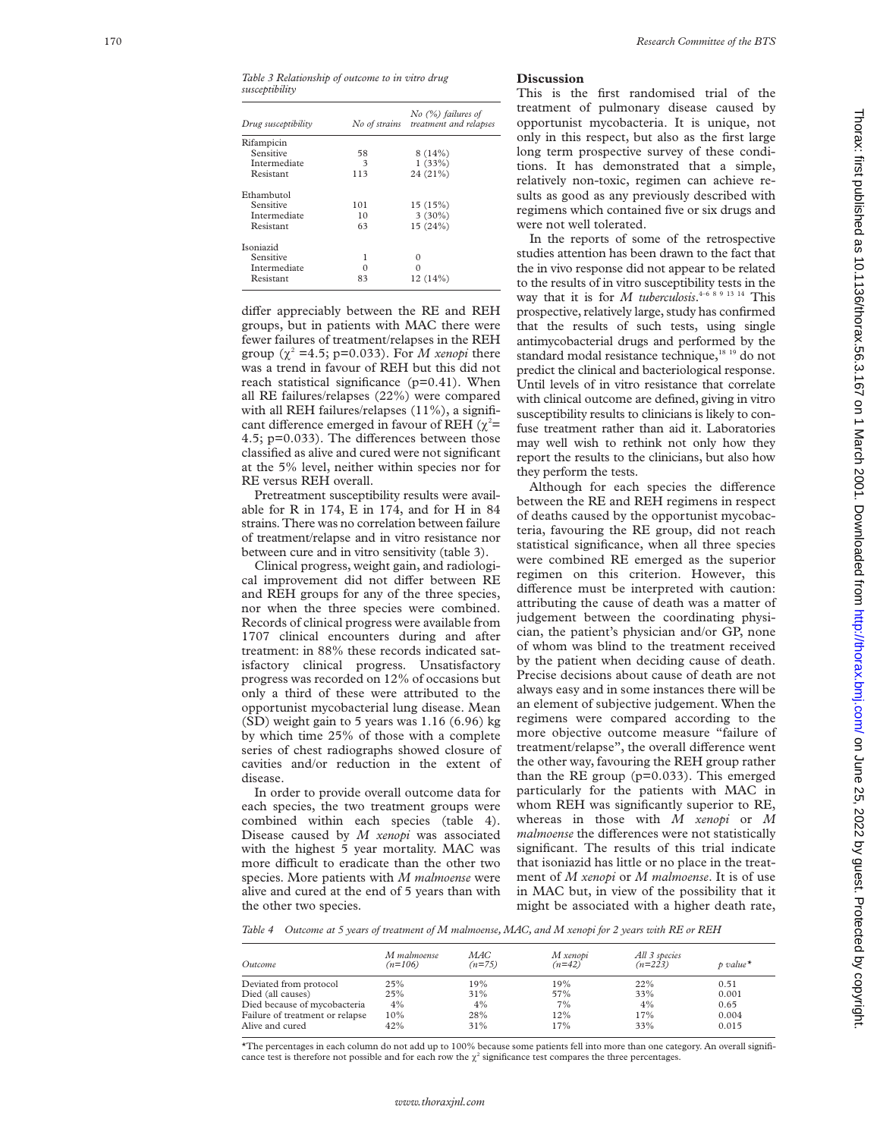| Drug susceptibility |     | $No$ (%) failures of<br>No of strains treatment and relapses |
|---------------------|-----|--------------------------------------------------------------|
| Rifampicin          |     |                                                              |
| Sensitive           | 58  | 8(14%)                                                       |
| Intermediate        | 3   | 1(33%)                                                       |
| Resistant           | 113 | 24(21%)                                                      |
| Ethambutol          |     |                                                              |
| Sensitive           | 101 | 15(15%)                                                      |
| Intermediate        | 10  | $3(30\%)$                                                    |
| Resistant           | 63  | 15(24%)                                                      |
| Isoniazid           |     |                                                              |
| Sensitive           | 1   | $\Omega$                                                     |
| Intermediate        | Ω   |                                                              |
| Resistant           | 83  | 12(14%)                                                      |

differ appreciably between the RE and REH groups, but in patients with MAC there were fewer failures of treatment/relapses in the REH group  $(\chi^2 = 4.5; p=0.033)$ . For *M xenopi* there was a trend in favour of REH but this did not reach statistical significance  $(p=0.41)$ . When all RE failures/relapses (22%) were compared with all REH failures/relapses (11%), a significant difference emerged in favour of REH ( $\chi^2$ = 4.5; p=0.033). The differences between those classified as alive and cured were not significant at the 5% level, neither within species nor for RE versus REH overall.

Pretreatment susceptibility results were available for R in 174, E in 174, and for H in 84 strains. There was no correlation between failure of treatment/relapse and in vitro resistance nor between cure and in vitro sensitivity (table 3).

Clinical progress, weight gain, and radiological improvement did not differ between RE and REH groups for any of the three species, nor when the three species were combined. Records of clinical progress were available from 1707 clinical encounters during and after treatment: in 88% these records indicated satisfactory clinical progress. Unsatisfactory progress was recorded on 12% of occasions but only a third of these were attributed to the opportunist mycobacterial lung disease. Mean (SD) weight gain to 5 years was 1.16 (6.96) kg by which time 25% of those with a complete series of chest radiographs showed closure of cavities and/or reduction in the extent of disease.

In order to provide overall outcome data for each species, the two treatment groups were combined within each species (table 4). Disease caused by *M xenopi* was associated with the highest 5 year mortality. MAC was more difficult to eradicate than the other two species. More patients with *M malmoense* were alive and cured at the end of 5 years than with the other two species.

# **Discussion**

This is the first randomised trial of the treatment of pulmonary disease caused by opportunist mycobacteria. It is unique, not only in this respect, but also as the first large long term prospective survey of these conditions. It has demonstrated that a simple, relatively non-toxic, regimen can achieve results as good as any previously described with regimens which contained five or six drugs and were not well tolerated.

In the reports of some of the retrospective studies attention has been drawn to the fact that the in vivo response did not appear to be related to the results of in vitro susceptibility tests in the way that it is for *M tuberculosis* . 4–6 8 9 13 14 This prospective, relatively large, study has confirmed that the results of such tests, using single antimycobacterial drugs and performed by the standard modal resistance technique,<sup>18 19</sup> do not predict the clinical and bacteriological response. Until levels of in vitro resistance that correlate with clinical outcome are defined, giving in vitro susceptibility results to clinicians is likely to confuse treatment rather than aid it. Laboratories may well wish to rethink not only how they report the results to the clinicians, but also how they perform the tests.

Although for each species the difference between the RE and REH regimens in respect of deaths caused by the opportunist mycobacteria, favouring the RE group, did not reach statistical significance, when all three species were combined RE emerged as the superior regimen on this criterion. However, this difference must be interpreted with caution: attributing the cause of death was a matter of judgement between the coordinating physician, the patient's physician and/or GP, none of whom was blind to the treatment received by the patient when deciding cause of death. Precise decisions about cause of death are not always easy and in some instances there will be an element of subjective judgement. When the regimens were compared according to the more objective outcome measure "failure of treatment/relapse", the overall difference went the other way, favouring the REH group rather than the RE group (p=0.033). This emerged particularly for the patients with MAC in whom REH was significantly superior to RE, whereas in those with *M xenopi* or *M* malmoense the differences were not statistically significant. The results of this trial indicate that isoniazid has little or no place in the treatment of *M xenopi* or *M malmoense*. It is of use in MAC but, in view of the possibility that it might be associated with a higher death rate,

*Table 4 Outcome at 5 years of treatment of M malmoense, MAC, and M xenopi for 2 years with RE or REH*

| Outcome                         | M malmoense<br>$(n=106)$ | MAC<br>$(n=75)$ | M xenopi<br>$(n=42)$ | All 3 species<br>$(n=223)$ | $p$ value* |
|---------------------------------|--------------------------|-----------------|----------------------|----------------------------|------------|
| Deviated from protocol          | 25%                      | 19%             | 19%                  | 22%                        | 0.51       |
| Died (all causes)               | 25%                      | 31%             | 57%                  | 33%                        | 0.001      |
| Died because of mycobacteria    | 4%                       | 4%              | 7%                   | 4%                         | 0.65       |
| Failure of treatment or relapse | $10\%$                   | 28%             | 12%                  | 17%                        | 0.004      |
| Alive and cured                 | 42%                      | 31%             | 17%                  | 33%                        | 0.015      |

\*The percentages in each column do not add up to 100% because some patients fell into more than one category. An overall significance test is therefore not possible and for each row the  $\chi^2$  significance test compares the three percentages.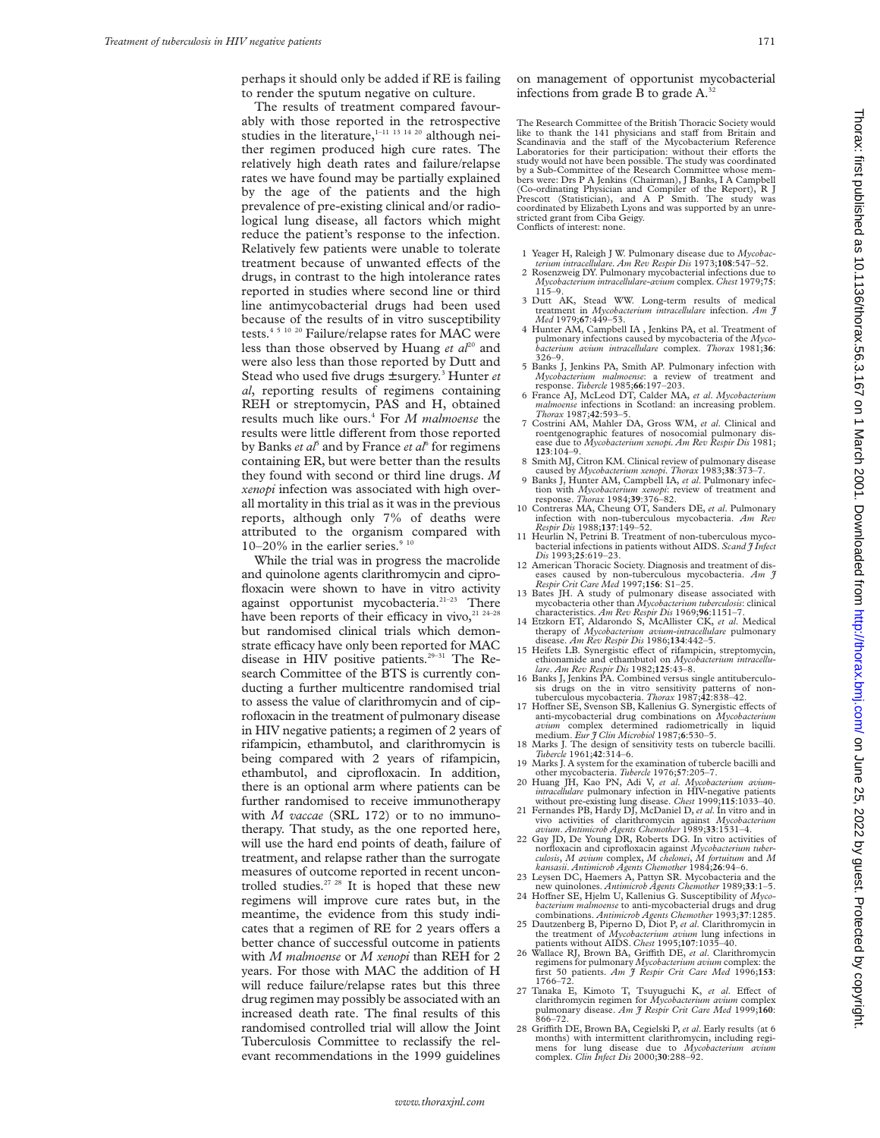perhaps it should only be added if RE is failing to render the sputum negative on culture.

The results of treatment compared favourably with those reported in the retrospective studies in the literature, $1-11$  13 14 20 although neither regimen produced high cure rates. The relatively high death rates and failure/relapse rates we have found may be partially explained by the age of the patients and the high prevalence of pre-existing clinical and/or radiological lung disease, all factors which might reduce the patient's response to the infection. Relatively few patients were unable to tolerate treatment because of unwanted effects of the drugs, in contrast to the high intolerance rates reported in studies where second line or third line antimycobacterial drugs had been used because of the results of in vitro susceptibility tests.4 5 10 20 Failure/relapse rates for MAC were less than those observed by Huang *et al*<sup>20</sup> and were also less than those reported by Dutt and Stead who used five drugs ± surgery.3 Hunter *et al*, reporting results of regimens containing REH or streptomycin, PAS and H, obtained results much like ours.4 For *M malmoense* the results were little different from those reported by Banks *et al*<sup>5</sup> and by France *et al*<sup>6</sup> for regimens containing ER, but were better than the results they found with second or third line drugs. *M xenopi* infection was associated with high overall mortality in this trial as it was in the previous reports, although only 7% of deaths were attributed to the organism compared with  $10-20\%$  in the earlier series. $\degree$ 

While the trial was in progress the macrolide and quinolone agents clarithromycin and ciprofloxacin were shown to have in vitro activity against opportunist mycobacteria.<sup>21-23</sup> There have been reports of their efficacy in vivo, $21\frac{24-28}{5}$ but randomised clinical trials which demonstrate efficacy have only been reported for MAC disease in HIV positive patients.<sup>29-31</sup> The Research Committee of the BTS is currently conducting a further multicentre randomised trial to assess the value of clarithromycin and of ciprofloxacin in the treatment of pulmonary disease in HIV negative patients; a regimen of 2 years of rifampicin, ethambutol, and clarithromycin is being compared with 2 years of rifampicin, ethambutol, and ciprofloxacin. In addition, there is an optional arm where patients can be further randomised to receive immunotherapy with *M vaccae* (SRL 172) or to no immunotherapy. That study, as the one reported here, will use the hard end points of death, failure of treatment, and relapse rather than the surrogate measures of outcome reported in recent uncontrolled studies.<sup>27</sup> <sup>28</sup> It is hoped that these new regimens will improve cure rates but, in the meantime, the evidence from this study indicates that a regimen of RE for 2 years offers a better chance of successful outcome in patients with *M malmoense* or *M xenopi* than REH for 2 years. For those with MAC the addition of H will reduce failure/relapse rates but this three drug regimen may possibly be associated with an increased death rate. The final results of this randomised controlled trial will allow the Joint Tuberculosis Committee to reclassify the relevant recommendations in the 1999 guidelines

on management of opportunist mycobacterial infections from grade B to grade A.<sup>32</sup>

The Research Committee of the British Thoracic Society would like to thank the 141 physicians and staff from Britain and Scandinavia and the staff of the Mycobacterium Reference Laboratories for their participation: without their efforts the<br>study would not have been possible. The study was coordinated<br>by a Sub-Committee of the Research Committee whose members were: Drs P A Jenkins (Chairman), J Banks, I A Campbell (Co-ordinating Physician and Compiler of the Report), R J Prescott (Statistician), and A P Smith. The study was coordinated by Elizabeth Lyons and was supported by an unrestricted grant from Ciba Geigy. Conflicts of interest: none.

- 1 Yeager H, Raleigh J W. Pulmonary disease due to *Mycobac-*
- *terium intracellulare. Am Rev Respir Dis* 1973;**108**:547–52. 2 Rosenzweig DY. Pulmonary mycobacterial infections due to *Mycobacterium intracellulare-avium* complex. *Chest* 1979;**75**: 115–9.
- 3 Dutt AK, Stead WW. Long-term results of medical treatment in *Mycobacterium intracellulare* infection. *Am J Med* 1979;**67**:449–53.
- 4 Hunter AM, Campbell IA , Jenkins PA, et al. Treatment of pulmonary infections caused by mycobacteria of the *Mycobacterium avium intracellulare* complex. *Thorax* 1981;**36**:
- 326–9. 5 Banks J, Jenkins PA, Smith AP. Pulmonary infection with *Mycobacterium malmoense*: a review of treatment and response. *Tubercle* 1985;**66**:197–203.
- 6 France AJ, McLeod DT, Calder MA, *et al*. *Mycobacterium malmoense* infections in Scotland: an increasing problem. *Thorax* 1987;**42**:593–5.
- 7 Costrini AM, Mahler DA, Gross WM, *et al*. Clinical and roentgenographic features of nosocomial pulmonary dis-ease due to *Mycobacterium xenopi. Am Rev Respir Dis* 1981; **123**:104–9.
- 8 Smith MJ, Citron KM. Clinical review of pulmonary disease caused by *Mycobacterium xenopi*. *Thorax* 1983;**38**:373–7.
- 9 Banks J, Hunter AM, Campbell IA, *et al*. Pulmonary infec-tion with *Mycobacterium xenopi*: review of treatment and response. *Thorax* 1984;**39**:376–82.
- 10 Contreras MA, Cheung OT, Sanders DE, *et al*. Pulmonary infection with non-tuberculous mycobacteria. *Am Rev*
- 11 Heurlin N, Petrini B. Treatment of non-tuberculous mycobacterial infections in patients without AIDS. *Scand J Infect*
- 12 American Thoracic Society. Diagnosis and treatment of diseases caused by non-tuberculous mycobacteria. *Am J Respir Crit Care Med* 1997;**156**: S1–25.
- 13 Bates JH. A study of pulmonary disease associated with mycobacteria other than *Mycobacterium tuberculosis*: clinical characteristics. *Am Rev Respir Dis* 1969;96:1151-7. Etzkorn ET, Aldarondo S, McAllister CK, *et al.* Medical
- therapy of *Mycobacterium avium-intracellulare* pulmonary
- 15 Heifets LB. Synergistic effect of rifampicin, streptomycin, ethionamide and ethambutol on *Mycobacterium intracellulare*. *Am Rev Respir Dis* 1982;**125**:43–8.
- Banks J, Jenkins PA. Combined versus single antituberculosis drugs on the in vitro sensitivity patterns of non-tuberculous mycobacteria. *Thorax* 1987;**42**:838–42.
- 17 Hoffner SE, Svenson SB, Kallenius G. Synergistic effects of anti-mycobacterial drug combinations on *Mycobacterium avium* complex determined radiometrically in liquid
- medium. *Eur J Clin Microbiol* 1987;**6**:530–5.<br>
18 Marks J. The design of sensitivity tests on tubercle bacilli.<br> *Tubercle* 1961;**42**:314–6.<br>
19 Marks J. A system for the examination of tubercle bacilli and
- other mycobacteria. *Tubercle* 1976;**57**:205–7. 20 Huang JH, Kao PN, Adi V, *et al*. *Mycobacterium avium-*
- *intracellulare* pulmonary infection in HIV-negative patients without pre-existing lung disease. *Chest* 1999;**115**:1033–40. 21 Fernandes PB, Hardy DJ, McDaniel D, *et al*. In vitro and in
- vivo activities of clarithromycin against *Mycobacterium avium*. *Antimicrob Agents Chemother* 1989;**33**:1531–4.
- 22 Gay JD, De Young DR, Roberts DG. In vitro activities of norfloxacin and ciprofloxacin against *Mycobacterium tuberculosis*, *M avium* complex, *M chelonei*, *M fortuitum* and *M*
- *kansasii*. *Antimicrob Agents Chemother* 1984;**26**:94–6. 23 Leysen DC, Haemers A, Pattyn SR. Mycobacteria and the
- new quinolones. *Antimicrob Agents Chemother* 1989;33:1-5.<br>24 Hoffner SE, Hjelm U, Kallenius G. Susceptibility of *Mycobacterium malmoense* to anti-mycobacterial drugs and drug combinations. *Antimicrob Agents Chemother* 1993;**37**:1285.
- 25 Dautzenberg B, Piperno D, Diot P, *et al*. Clarithromycin in the treatment of *Mycobacterium avium* lung infections in patients without AIDS. *Chest* 1995;**107**:1035–40.
- 26 Wallace RJ, Brown BA, Griffith DE, *et al.* Clarithromycin regimens for pulmonary *Mycobacterium avium* complex: the first 50 patients. *Am J Respir Crit Care Med* 1996;**153**: 1766–72.<br>27 Tanaka E, Kimoto T, Tsuyuguchi K, *et al.* Effect of
- clarithromycin regimen for *Mycobacterium avium* complex pulmonary disease. *Am J Respir Crit Care Med* 1999;**160**: 866–72.
- 28 Griffith DE, Brown BA, Cegielski P, et al. Early results (at 6 months) with intermittent clarithromycin, including regi-mens for lung disease due to *Mycobacterium avium* complex. *Clin Infect Dis* 2000;**30**:288–92.